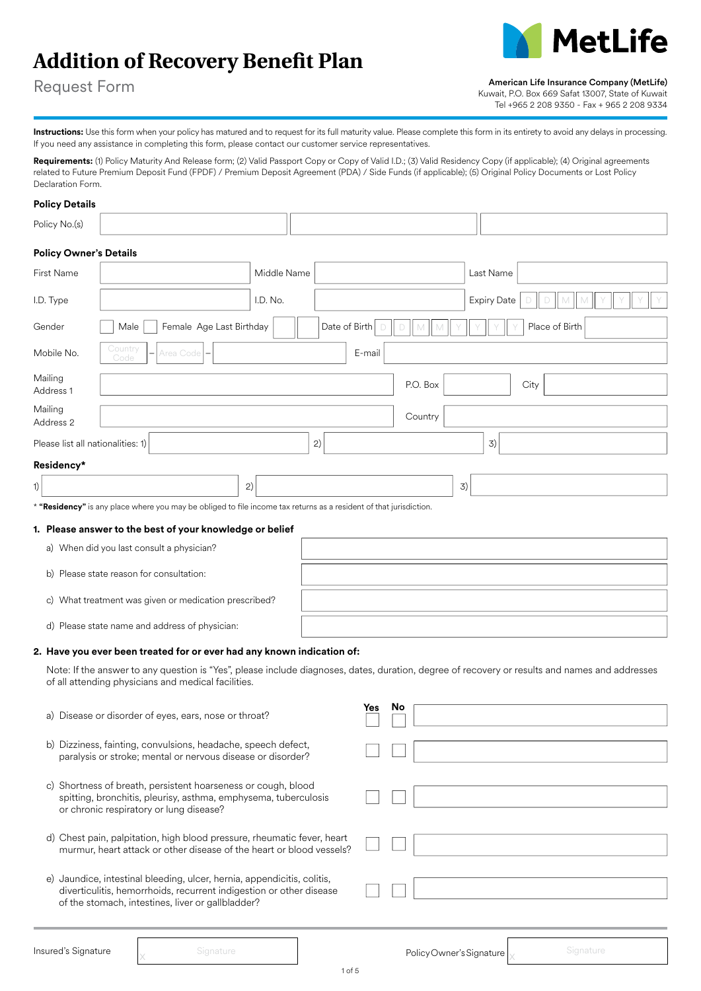# **Addition of Recovery Benefit Plan**



Request Form

American Life Insurance Company (MetLife)

Kuwait, P.O. Box 669 Safat 13007, State of Kuwait Tel +965 2 208 9350 - Fax + 965 2 208 9334

Instructions: Use this form when your policy has matured and to request for its full maturity value. Please complete this form in its entirety to avoid any delays in processing. If you need any assistance in completing this form, please contact our customer service representatives.

Requirements: (1) Policy Maturity And Release form; (2) Valid Passport Copy or Copy of Valid I.D.; (3) Valid Residency Copy (if applicable); (4) Original agreements related to Future Premium Deposit Fund (FPDF) / Premium Deposit Agreement (PDA) / Side Funds (if applicable); (5) Original Policy Documents or Lost Policy Declaration Form.

### **Policy Details**

| Policy No.(s)                   |                                                                                                                                                                                                       |             |               |          |                    |                |
|---------------------------------|-------------------------------------------------------------------------------------------------------------------------------------------------------------------------------------------------------|-------------|---------------|----------|--------------------|----------------|
|                                 | <b>Policy Owner's Details</b>                                                                                                                                                                         |             |               |          |                    |                |
| First Name                      |                                                                                                                                                                                                       | Middle Name |               |          | Last Name          |                |
| I.D. Type                       |                                                                                                                                                                                                       | I.D. No.    |               |          | <b>Expiry Date</b> |                |
| Gender                          | Female Age Last Birthday<br>Male                                                                                                                                                                      |             | Date of Birth |          |                    | Place of Birth |
| Mobile No.                      | Country<br>Area Code<br>Code                                                                                                                                                                          |             | E-mail        |          |                    |                |
| Mailing<br>Address 1            |                                                                                                                                                                                                       |             |               | P.O. Box | City               |                |
| Mailing<br>Address <sub>2</sub> |                                                                                                                                                                                                       |             |               | Country  |                    |                |
|                                 | Please list all nationalities: 1)                                                                                                                                                                     |             | 2)            |          | 3)                 |                |
| Residency*                      |                                                                                                                                                                                                       |             |               |          |                    |                |
| 1)                              |                                                                                                                                                                                                       | 2)          |               |          | 3)                 |                |
|                                 | * "Residency" is any place where you may be obliged to file income tax returns as a resident of that jurisdiction.                                                                                    |             |               |          |                    |                |
|                                 | 1. Please answer to the best of your knowledge or belief                                                                                                                                              |             |               |          |                    |                |
|                                 | a) When did you last consult a physician?                                                                                                                                                             |             |               |          |                    |                |
|                                 | b) Please state reason for consultation:                                                                                                                                                              |             |               |          |                    |                |
|                                 | c) What treatment was given or medication prescribed?                                                                                                                                                 |             |               |          |                    |                |
|                                 | d) Please state name and address of physician:                                                                                                                                                        |             |               |          |                    |                |
|                                 | 2. Have you ever been treated for or ever had any known indication of:                                                                                                                                |             |               |          |                    |                |
|                                 | Note: If the answer to any question is "Yes", please include diagnoses, dates, duration, degree of recovery or results and names and addresses<br>of all attending physicians and medical facilities. |             |               |          |                    |                |
|                                 | a) Disease or disorder of eyes, ears, nose or throat?                                                                                                                                                 |             | Yes           | No       |                    |                |
|                                 | b) Dizziness, fainting, convulsions, headache, speech defect,<br>paralysis or stroke; mental or nervous disease or disorder?                                                                          |             |               |          |                    |                |
|                                 | c) Shortness of breath, persistent hoarseness or cough, blood<br>spitting, bronchitis, pleurisy, asthma, emphysema, tuberculosis<br>or chronic respiratory or lung disease?                           |             |               |          |                    |                |

- d) Chest pain, palpitation, high blood pressure, rheumatic fever, heart murmur, heart attack or other disease of the heart or blood vessels?
- e) Jaundice, intestinal bleeding, ulcer, hernia, appendicitis, colitis, diverticulitis, hemorrhoids, recurrent indigestion or other disease of the stomach, intestines, liver or gallbladder?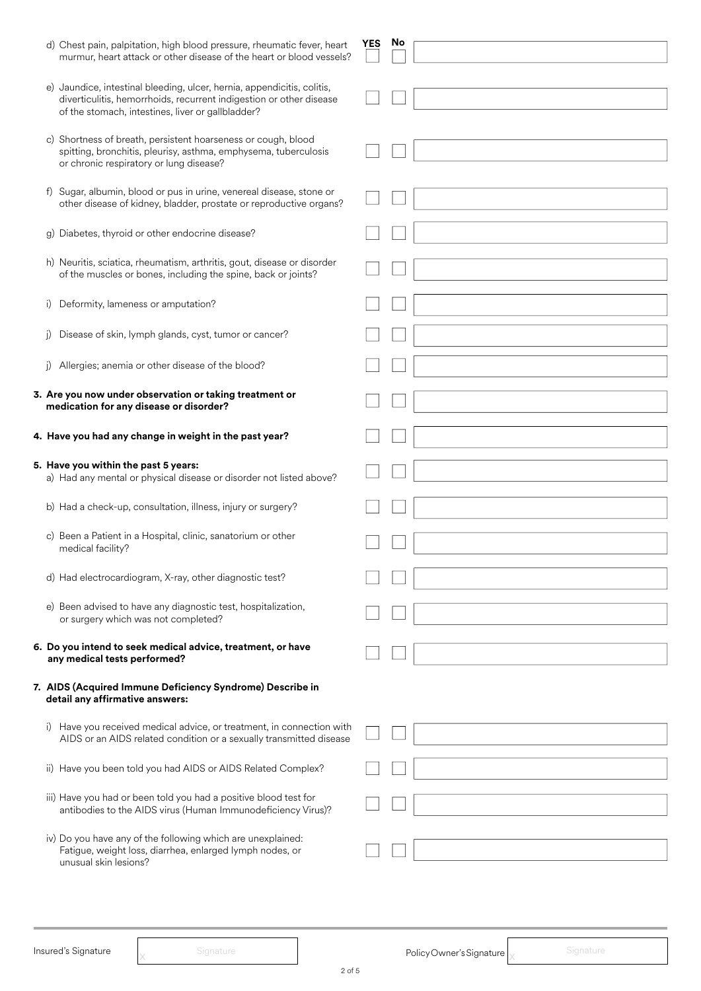| d) Chest pain, palpitation, high blood pressure, rheumatic fever, heart<br>murmur, heart attack or other disease of the heart or blood vessels?                                                     | YES | No |  |
|-----------------------------------------------------------------------------------------------------------------------------------------------------------------------------------------------------|-----|----|--|
| e) Jaundice, intestinal bleeding, ulcer, hernia, appendicitis, colitis,<br>diverticulitis, hemorrhoids, recurrent indigestion or other disease<br>of the stomach, intestines, liver or gallbladder? |     |    |  |
| c) Shortness of breath, persistent hoarseness or cough, blood<br>spitting, bronchitis, pleurisy, asthma, emphysema, tuberculosis<br>or chronic respiratory or lung disease?                         |     |    |  |
| f) Sugar, albumin, blood or pus in urine, venereal disease, stone or<br>other disease of kidney, bladder, prostate or reproductive organs?                                                          |     |    |  |
| g) Diabetes, thyroid or other endocrine disease?                                                                                                                                                    |     |    |  |
| h) Neuritis, sciatica, rheumatism, arthritis, gout, disease or disorder<br>of the muscles or bones, including the spine, back or joints?                                                            |     |    |  |
| Deformity, lameness or amputation?<br>i)                                                                                                                                                            |     |    |  |
| Disease of skin, lymph glands, cyst, tumor or cancer?                                                                                                                                               |     |    |  |
| Allergies; anemia or other disease of the blood?<br>i)                                                                                                                                              |     |    |  |
| 3. Are you now under observation or taking treatment or<br>medication for any disease or disorder?                                                                                                  |     |    |  |
| 4. Have you had any change in weight in the past year?                                                                                                                                              |     |    |  |
| 5. Have you within the past 5 years:<br>a) Had any mental or physical disease or disorder not listed above?                                                                                         |     |    |  |
| b) Had a check-up, consultation, illness, injury or surgery?                                                                                                                                        |     |    |  |
| c) Been a Patient in a Hospital, clinic, sanatorium or other<br>medical facility?                                                                                                                   |     |    |  |
| d) Had electrocardiogram, X-ray, other diagnostic test?                                                                                                                                             |     |    |  |
| e) Been advised to have any diagnostic test, hospitalization,<br>or surgery which was not completed?                                                                                                |     |    |  |
| 6. Do you intend to seek medical advice, treatment, or have<br>any medical tests performed?                                                                                                         |     |    |  |
| 7. AIDS (Acquired Immune Deficiency Syndrome) Describe in<br>detail any affirmative answers:                                                                                                        |     |    |  |
| i) Have you received medical advice, or treatment, in connection with<br>AIDS or an AIDS related condition or a sexually transmitted disease                                                        |     |    |  |
| ii) Have you been told you had AIDS or AIDS Related Complex?                                                                                                                                        |     |    |  |
| iii) Have you had or been told you had a positive blood test for<br>antibodies to the AIDS virus (Human Immunodeficiency Virus)?                                                                    |     |    |  |
| iv) Do you have any of the following which are unexplained:<br>Fatigue, weight loss, diarrhea, enlarged lymph nodes, or<br>unusual skin lesions?                                                    |     |    |  |

Insured's Signature  $\left.\right|_{\times}$  Signature Signature  $\left.\right|$  Policy Owner's Signature  $\left.\right|_{\times}$  Signature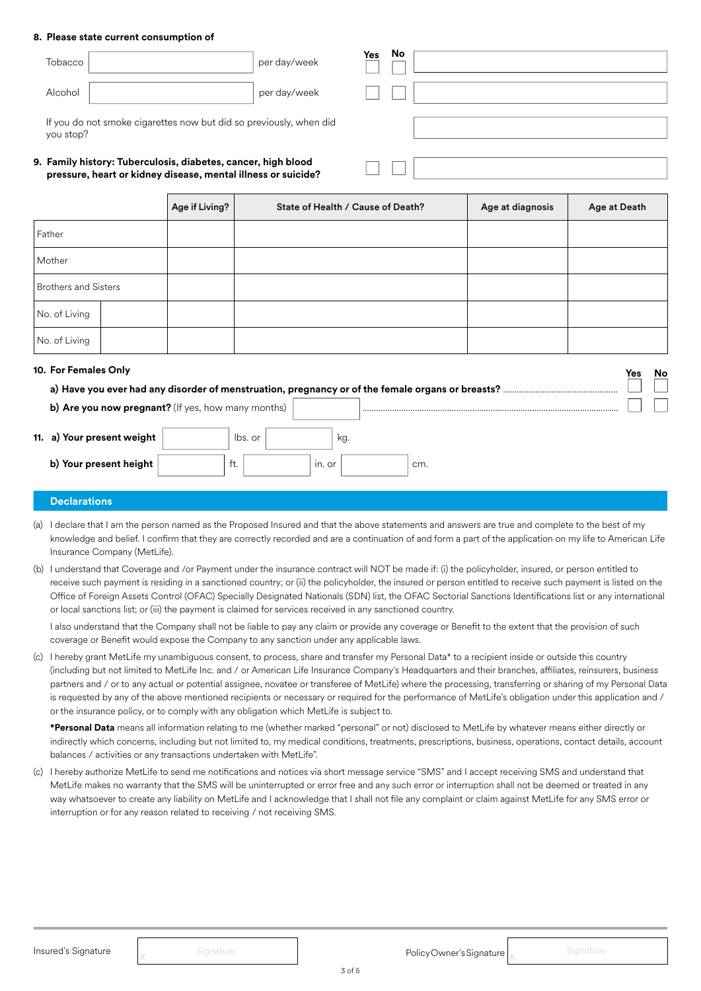#### **8. Please state current consumption of**

| Tobacco                                                                                                                        |                | per day/week | No<br>Yes                         |                  |              |  |  |  |
|--------------------------------------------------------------------------------------------------------------------------------|----------------|--------------|-----------------------------------|------------------|--------------|--|--|--|
| Alcohol                                                                                                                        |                | per day/week |                                   |                  |              |  |  |  |
| If you do not smoke cigarettes now but did so previously, when did<br>you stop?                                                |                |              |                                   |                  |              |  |  |  |
| 9. Family history: Tuberculosis, diabetes, cancer, high blood<br>pressure, heart or kidney disease, mental illness or suicide? |                |              |                                   |                  |              |  |  |  |
|                                                                                                                                | Age if Living? |              | State of Health / Cause of Death? | Age at diagnosis | Age at Death |  |  |  |
|                                                                                                                                |                |              |                                   |                  |              |  |  |  |
| Father                                                                                                                         |                |              |                                   |                  |              |  |  |  |
| Mother                                                                                                                         |                |              |                                   |                  |              |  |  |  |

| No. of Living        |                            |                                                    |         |            |     |     |  |     |    |
|----------------------|----------------------------|----------------------------------------------------|---------|------------|-----|-----|--|-----|----|
| 10. For Females Only |                            |                                                    |         |            |     |     |  | Yes | No |
|                      |                            |                                                    |         |            |     |     |  |     |    |
|                      |                            | b) Are you now pregnant? (If yes, how many months) |         |            |     |     |  |     |    |
|                      | 11. a) Your present weight |                                                    | lbs. or |            | kg. |     |  |     |    |
|                      | b) Your present height     |                                                    | ft.     | $In.$ $Or$ |     | cm. |  |     |    |

#### **Declarations**

No. of Living

- (a) I declare that I am the person named as the Proposed Insured and that the above statements and answers are true and complete to the best of my knowledge and belief. I confirm that they are correctly recorded and are a continuation of and form a part of the application on my life to American Life Insurance Company (MetLife).
- (b) I understand that Coverage and /or Payment under the insurance contract will NOT be made if: (i) the policyholder, insured, or person entitled to receive such payment is residing in a sanctioned country; or (ii) the policyholder, the insured or person entitled to receive such payment is listed on the Office of Foreign Assets Control (OFAC) Specially Designated Nationals (SDN) list, the OFAC Sectorial Sanctions Identifications list or any international or local sanctions list; or (iii) the payment is claimed for services received in any sanctioned country.

I also understand that the Company shall not be liable to pay any claim or provide any coverage or Benefit to the extent that the provision of such coverage or Benefit would expose the Company to any sanction under any applicable laws.

(c) I hereby grant MetLife my unambiguous consent, to process, share and transfer my Personal Data\* to a recipient inside or outside this country (including but not limited to MetLife Inc. and / or American Life Insurance Company's Headquarters and their branches, affiliates, reinsurers, business partners and / or to any actual or potential assignee, novatee or transferee of MetLife) where the processing, transferring or sharing of my Personal Data is requested by any of the above mentioned recipients or necessary or required for the performance of MetLife's obligation under this application and / or the insurance policy, or to comply with any obligation which MetLife is subject to.

**\*Personal Data** means all information relating to me (whether marked "personal" or not) disclosed to MetLife by whatever means either directly or indirectly which concerns, including but not limited to, my medical conditions, treatments, prescriptions, business, operations, contact details, account balances / activities or any transactions undertaken with MetLife".

(c) I hereby authorize MetLife to send me notifications and notices via short message service "SMS" and I accept receiving SMS and understand that MetLife makes no warranty that the SMS will be uninterrupted or error free and any such error or interruption shall not be deemed or treated in any way whatsoever to create any liability on MetLife and I acknowledge that I shall not file any complaint or claim against MetLife for any SMS error or interruption or for any reason related to receiving / not receiving SMS.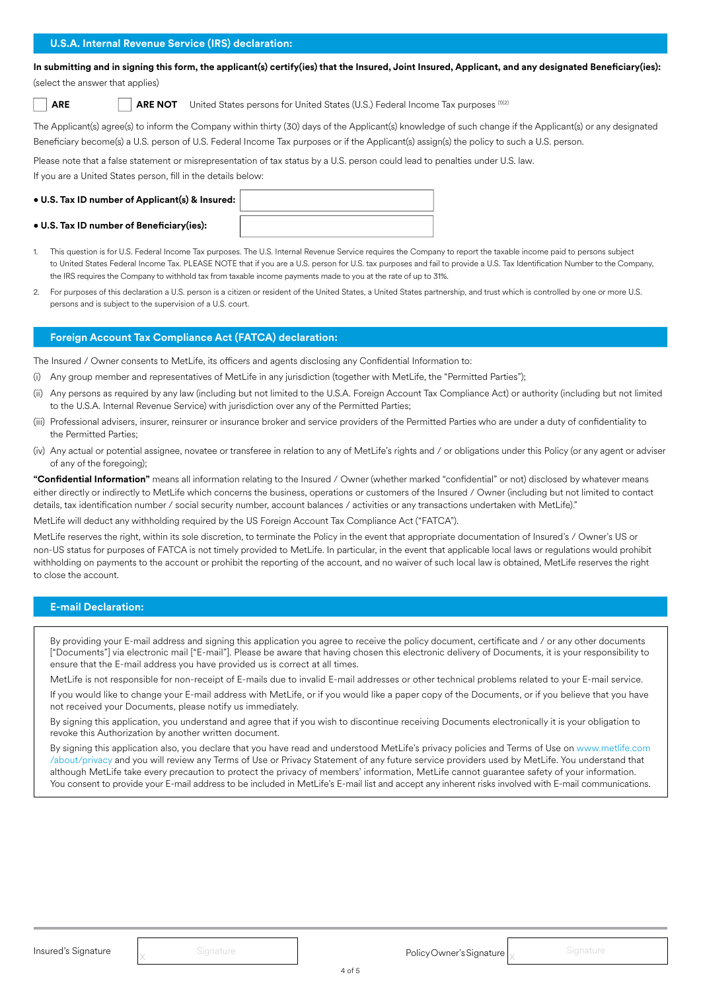**In submitting and in signing this form, the applicant(s) certify(ies) that the Insured, Joint Insured, Applicant, and any designated Beneficiary(ies):**  (select the answer that applies)

**ARE ARE NOT** United States persons for United States (U.S.) Federal Income Tax purposes (1)(2)

The Applicant(s) agree(s) to inform the Company within thirty (30) days of the Applicant(s) knowledge of such change if the Applicant(s) or any designated Beneficiary become(s) a U.S. person of U.S. Federal Income Tax purposes or if the Applicant(s) assign(s) the policy to such a U.S. person.

Please note that a false statement or misrepresentation of tax status by a U.S. person could lead to penalties under U.S. law.

If you are a United States person, fill in the details below:

- **U.S. Tax ID number of Applicant(s) & Insured:**
- **U.S. Tax ID number of Beneficiary(ies):**
- 1. This question is for U.S. Federal Income Tax purposes. The U.S. Internal Revenue Service requires the Company to report the taxable income paid to persons subject to United States Federal Income Tax. PLEASE NOTE that if you are a U.S. person for U.S. tax purposes and fail to provide a U.S. Tax Identification Number to the Company, the IRS requires the Company to withhold tax from taxable income payments made to you at the rate of up to 31%.
- 2. For purposes of this declaration a U.S. person is a citizen or resident of the United States, a United States partnership, and trust which is controlled by one or more U.S. persons and is subject to the supervision of a U.S. court.

#### **Foreign Account Tax Compliance Act (FATCA) declaration:**

The Insured / Owner consents to MetLife, its officers and agents disclosing any Confidential Information to:

- (i) Any group member and representatives of MetLife in any jurisdiction (together with MetLife, the "Permitted Parties");
- (ii) Any persons as required by any law (including but not limited to the U.S.A. Foreign Account Tax Compliance Act) or authority (including but not limited to the U.S.A. Internal Revenue Service) with jurisdiction over any of the Permitted Parties;
- (iii) Professional advisers, insurer, reinsurer or insurance broker and service providers of the Permitted Parties who are under a duty of confidentiality to the Permitted Parties;
- (iv) Any actual or potential assignee, novatee or transferee in relation to any of MetLife's rights and / or obligations under this Policy (or any agent or adviser of any of the foregoing);

**"Confidential Information"** means all information relating to the Insured / Owner (whether marked "confidential" or not) disclosed by whatever means either directly or indirectly to MetLife which concerns the business, operations or customers of the Insured / Owner (including but not limited to contact details, tax identification number / social security number, account balances / activities or any transactions undertaken with MetLife)."

MetLife will deduct any withholding required by the US Foreign Account Tax Compliance Act ("FATCA").

MetLife reserves the right, within its sole discretion, to terminate the Policy in the event that appropriate documentation of Insured's / Owner's US or non-US status for purposes of FATCA is not timely provided to MetLife. In particular, in the event that applicable local laws or regulations would prohibit withholding on payments to the account or prohibit the reporting of the account, and no waiver of such local law is obtained, MetLife reserves the right to close the account.

#### **E-mail Declaration:**

By providing your E-mail address and signing this application you agree to receive the policy document, certificate and / or any other documents ["Documents"] via electronic mail ["E-mail"]. Please be aware that having chosen this electronic delivery of Documents, it is your responsibility to ensure that the E-mail address you have provided us is correct at all times.

MetLife is not responsible for non-receipt of E-mails due to invalid E-mail addresses or other technical problems related to your E-mail service. If you would like to change your E-mail address with MetLife, or if you would like a paper copy of the Documents, or if you believe that you have

not received your Documents, please notify us immediately. By signing this application, you understand and agree that if you wish to discontinue receiving Documents electronically it is your obligation to revoke this Authorization by another written document.

By signing this application also, you declare that you have read and understood MetLife's privacy policies and Terms of Use on www.metlife.com /about/privacy and you will review any Terms of Use or Privacy Statement of any future service providers used by MetLife. You understand that although MetLife take every precaution to protect the privacy of members' information, MetLife cannot guarantee safety of your information. You consent to provide your E-mail address to be included in MetLife's E-mail list and accept any inherent risks involved with E-mail communications.